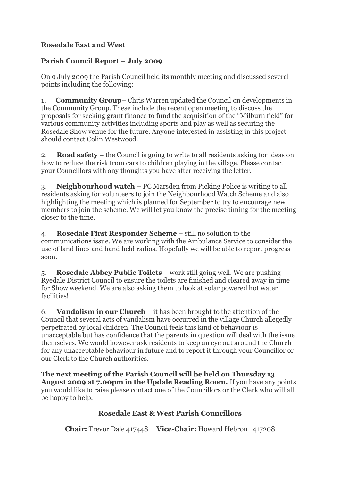## **Rosedale East and West**

## **Parish Council Report – July 2009**

On 9 July 2009 the Parish Council held its monthly meeting and discussed several points including the following:

1. **Community Group**– Chris Warren updated the Council on developments in the Community Group. These include the recent open meeting to discuss the proposals for seeking grant finance to fund the acquisition of the "Milburn field" for various community activities including sports and play as well as securing the Rosedale Show venue for the future. Anyone interested in assisting in this project should contact Colin Westwood.

2. **Road safety** – the Council is going to write to all residents asking for ideas on how to reduce the risk from cars to children playing in the village. Please contact your Councillors with any thoughts you have after receiving the letter.

3. **Neighbourhood watch** – PC Marsden from Picking Police is writing to all residents asking for volunteers to join the Neighbourhood Watch Scheme and also highlighting the meeting which is planned for September to try to encourage new members to join the scheme. We will let you know the precise timing for the meeting closer to the time.

4. **Rosedale First Responder Scheme** – still no solution to the communications issue. We are working with the Ambulance Service to consider the use of land lines and hand held radios. Hopefully we will be able to report progress soon.

5. **Rosedale Abbey Public Toilets** – work still going well. We are pushing Ryedale District Council to ensure the toilets are finished and cleared away in time for Show weekend. We are also asking them to look at solar powered hot water facilities!

6. **Vandalism in our Church** – it has been brought to the attention of the Council that several acts of vandalism have occurred in the village Church allegedly perpetrated by local children. The Council feels this kind of behaviour is unacceptable but has confidence that the parents in question will deal with the issue themselves. We would however ask residents to keep an eye out around the Church for any unacceptable behaviour in future and to report it through your Councillor or our Clerk to the Church authorities.

**The next meeting of the Parish Council will be held on Thursday 13 August 2009 at 7.00pm in the Updale Reading Room.** If you have any points you would like to raise please contact one of the Councillors or the Clerk who will all be happy to help.

## **Rosedale East & West Parish Councillors**

**Chair:** Trevor Dale 417448 **Vice-Chair:** Howard Hebron 417208